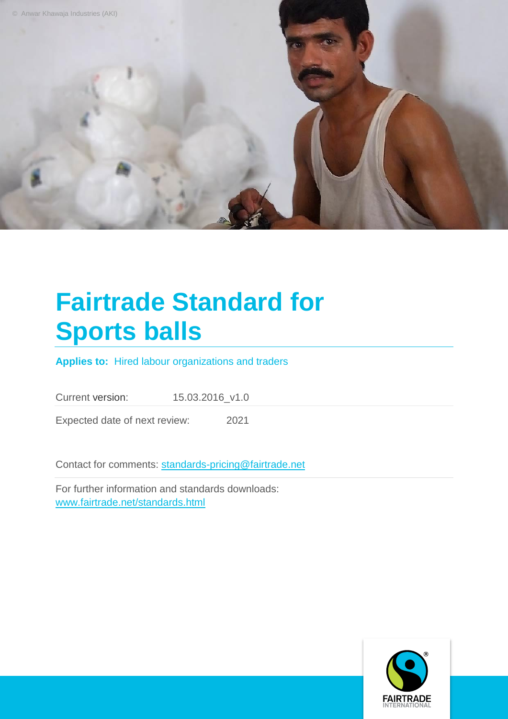

## **Fairtrade Standard for Sports balls**

**Applies to:** Hired labour organizations and traders

Current version: 15.03.2016\_v1.0

Expected date of next review: 2021

Contact for comments: [standards-pricing@fairtrade.net](mailto:standards-pricing@fairtrade.net)

For further information and standards downloads: [www.fairtrade.net/standards.html](http://www.fairtrade.net/standards.html)

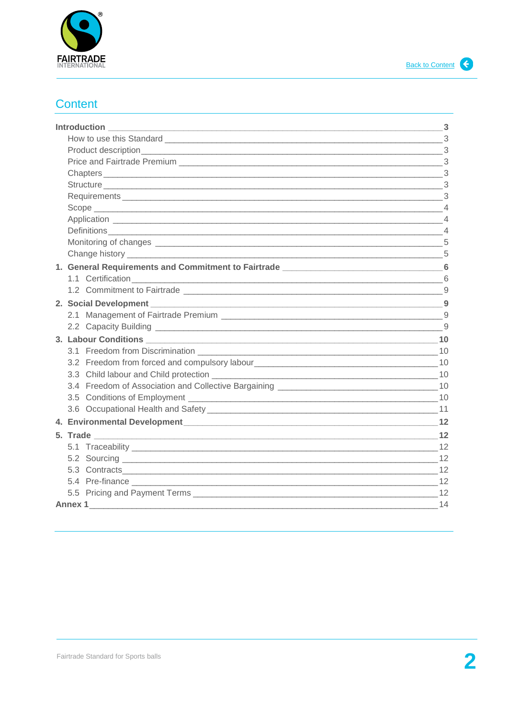

## <span id="page-1-0"></span>**Content**

| <b>Introduction</b>                                                                                                                                                                                                            | $\sim$ 3       |
|--------------------------------------------------------------------------------------------------------------------------------------------------------------------------------------------------------------------------------|----------------|
| How to use this Standard 2000 and 2000 and 2000 and 2000 and 2000 and 2000 and 2000 and 2000 and 2000 and 2000                                                                                                                 |                |
|                                                                                                                                                                                                                                |                |
|                                                                                                                                                                                                                                | 3              |
|                                                                                                                                                                                                                                |                |
|                                                                                                                                                                                                                                |                |
|                                                                                                                                                                                                                                |                |
|                                                                                                                                                                                                                                |                |
|                                                                                                                                                                                                                                |                |
|                                                                                                                                                                                                                                | $\overline{4}$ |
|                                                                                                                                                                                                                                |                |
|                                                                                                                                                                                                                                |                |
| 1. General Requirements and Commitment to Fairtrade _____________________________6                                                                                                                                             |                |
|                                                                                                                                                                                                                                |                |
| 1.2 Commitment to Fairtrade League and Commitment to Fairtrade League and Commitment to Fairtrade League and Commitment of the Commitment of Commitment of Commitment of Commitment of Commitment of Commitment of Commitment  |                |
|                                                                                                                                                                                                                                |                |
|                                                                                                                                                                                                                                |                |
|                                                                                                                                                                                                                                |                |
|                                                                                                                                                                                                                                |                |
|                                                                                                                                                                                                                                |                |
|                                                                                                                                                                                                                                |                |
| 3.3 Child labour and Child protection entering the state of the state of the state of the state of the state of the state of the state of the state of the state of the state of the state of the state of the state of the st |                |
|                                                                                                                                                                                                                                |                |
|                                                                                                                                                                                                                                |                |
|                                                                                                                                                                                                                                |                |
|                                                                                                                                                                                                                                |                |
|                                                                                                                                                                                                                                |                |
|                                                                                                                                                                                                                                |                |
|                                                                                                                                                                                                                                |                |
|                                                                                                                                                                                                                                |                |
|                                                                                                                                                                                                                                |                |
|                                                                                                                                                                                                                                |                |
| Annex 1 and 14                                                                                                                                                                                                                 |                |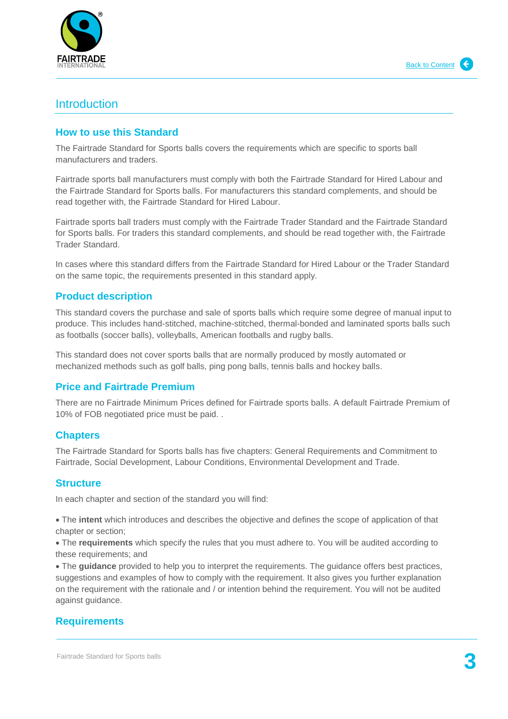

## <span id="page-2-0"></span>**Introduction**

## <span id="page-2-1"></span>**How to use this Standard**

The Fairtrade Standard for Sports balls covers the requirements which are specific to sports ball manufacturers and traders.

Fairtrade sports ball manufacturers must comply with both the Fairtrade Standard for Hired Labour and the Fairtrade Standard for Sports balls. For manufacturers this standard complements, and should be read together with, the Fairtrade Standard for Hired Labour.

Fairtrade sports ball traders must comply with the Fairtrade Trader Standard and the Fairtrade Standard for Sports balls. For traders this standard complements, and should be read together with, the Fairtrade Trader Standard.

In cases where this standard differs from the Fairtrade Standard for Hired Labour or the Trader Standard on the same topic, the requirements presented in this standard apply.

## <span id="page-2-2"></span>**Product description**

This standard covers the purchase and sale of sports balls which require some degree of manual input to produce. This includes hand-stitched, machine-stitched, thermal-bonded and laminated sports balls such as footballs (soccer balls), volleyballs, American footballs and rugby balls.

This standard does not cover sports balls that are normally produced by mostly automated or mechanized methods such as golf balls, ping pong balls, tennis balls and hockey balls.

## <span id="page-2-3"></span>**Price and Fairtrade Premium**

There are no Fairtrade Minimum Prices defined for Fairtrade sports balls. A default Fairtrade Premium of 10% of FOB negotiated price must be paid. .

### <span id="page-2-4"></span>**Chapters**

The Fairtrade Standard for Sports balls has five chapters: General Requirements and Commitment to Fairtrade, Social Development, Labour Conditions, Environmental Development and Trade.

### <span id="page-2-5"></span>**Structure**

In each chapter and section of the standard you will find:

 The **intent** which introduces and describes the objective and defines the scope of application of that chapter or section;

 The **requirements** which specify the rules that you must adhere to. You will be audited according to these requirements; and

 The **guidance** provided to help you to interpret the requirements. The guidance offers best practices, suggestions and examples of how to comply with the requirement. It also gives you further explanation on the requirement with the rationale and / or intention behind the requirement. You will not be audited against guidance.

## <span id="page-2-6"></span>**Requirements**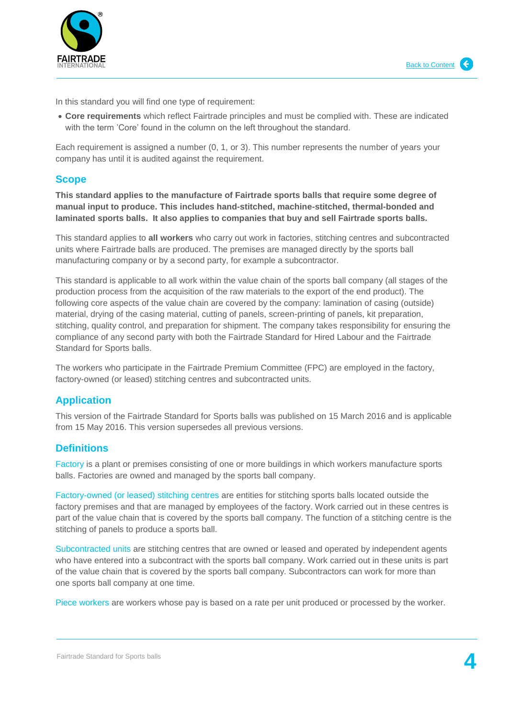

In this standard you will find one type of requirement:

 **Core requirements** which reflect Fairtrade principles and must be complied with. These are indicated with the term 'Core' found in the column on the left throughout the standard.

Each requirement is assigned a number (0, 1, or 3). This number represents the number of years your company has until it is audited against the requirement.

#### <span id="page-3-0"></span>**Scope**

**This standard applies to the manufacture of Fairtrade sports balls that require some degree of manual input to produce. This includes hand-stitched, machine-stitched, thermal-bonded and laminated sports balls. It also applies to companies that buy and sell Fairtrade sports balls.** 

This standard applies to **all workers** who carry out work in factories, stitching centres and subcontracted units where Fairtrade balls are produced. The premises are managed directly by the sports ball manufacturing company or by a second party, for example a subcontractor.

This standard is applicable to all work within the value chain of the sports ball company (all stages of the production process from the acquisition of the raw materials to the export of the end product). The following core aspects of the value chain are covered by the company: lamination of casing (outside) material, drying of the casing material, cutting of panels, screen-printing of panels, kit preparation, stitching, quality control, and preparation for shipment. The company takes responsibility for ensuring the compliance of any second party with both the Fairtrade Standard for Hired Labour and the Fairtrade Standard for Sports balls.

The workers who participate in the Fairtrade Premium Committee (FPC) are employed in the factory, factory-owned (or leased) stitching centres and subcontracted units.

### <span id="page-3-1"></span>**Application**

This version of the Fairtrade Standard for Sports balls was published on 15 March 2016 and is applicable from 15 May 2016. This version supersedes all previous versions.

### <span id="page-3-2"></span>**Definitions**

Factory is a plant or premises consisting of one or more buildings in which workers manufacture sports balls. Factories are owned and managed by the sports ball company.

Factory-owned (or leased) stitching centres are entities for stitching sports balls located outside the factory premises and that are managed by employees of the factory. Work carried out in these centres is part of the value chain that is covered by the sports ball company. The function of a stitching centre is the stitching of panels to produce a sports ball.

Subcontracted units are stitching centres that are owned or leased and operated by independent agents who have entered into a subcontract with the sports ball company. Work carried out in these units is part of the value chain that is covered by the sports ball company. Subcontractors can work for more than one sports ball company at one time.

Piece workers are workers whose pay is based on a rate per unit produced or processed by the worker.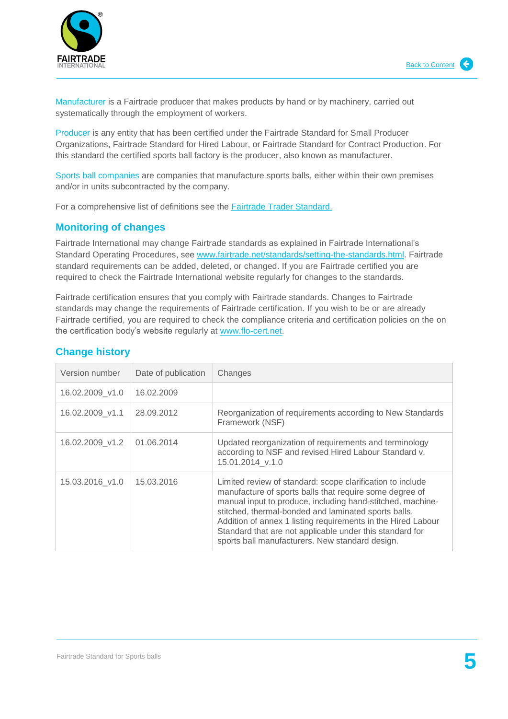

Manufacturer is a Fairtrade producer that makes products by hand or by machinery, carried out systematically through the employment of workers.

Producer is any entity that has been certified under the Fairtrade Standard for Small Producer Organizations, Fairtrade Standard for Hired Labour, or Fairtrade Standard for Contract Production. For this standard the certified sports ball factory is the producer, also known as manufacturer.

Sports ball companies are companies that manufacture sports balls, either within their own premises and/or in units subcontracted by the company.

For a comprehensive list of definitions see the [Fairtrade Trader Standard.](http://www.fairtrade.net/fileadmin/user_upload/content/2009/standards/documents/generic-standards/TS_EN.pdf) 

## <span id="page-4-0"></span>**Monitoring of changes**

Fairtrade International may change Fairtrade standards as explained in Fairtrade International's Standard Operating Procedures, see [www.fairtrade.net/standards/setting-the-standards.html.](http://www.fairtrade.net/standards/setting-the-standards.html) Fairtrade standard requirements can be added, deleted, or changed. If you are Fairtrade certified you are required to check the Fairtrade International website regularly for changes to the standards.

Fairtrade certification ensures that you comply with Fairtrade standards. Changes to Fairtrade standards may change the requirements of Fairtrade certification. If you wish to be or are already Fairtrade certified, you are required to check the compliance criteria and certification policies on the on the certification body's website regularly at [www.flo-cert.net.](http://www.flo-cert.net/)

| Version number  | Date of publication | Changes                                                                                                                                                                                                                                                                                                                                                                                                                    |
|-----------------|---------------------|----------------------------------------------------------------------------------------------------------------------------------------------------------------------------------------------------------------------------------------------------------------------------------------------------------------------------------------------------------------------------------------------------------------------------|
| 16.02.2009 v1.0 | 16.02.2009          |                                                                                                                                                                                                                                                                                                                                                                                                                            |
| 16.02.2009_v1.1 | 28.09.2012          | Reorganization of requirements according to New Standards<br>Framework (NSF)                                                                                                                                                                                                                                                                                                                                               |
| 16.02.2009 v1.2 | 01.06.2014          | Updated reorganization of requirements and terminology<br>according to NSF and revised Hired Labour Standard v.<br>15.01.2014 v.1.0                                                                                                                                                                                                                                                                                        |
| 15.03.2016 v1.0 | 15.03.2016          | Limited review of standard: scope clarification to include<br>manufacture of sports balls that require some degree of<br>manual input to produce, including hand-stitched, machine-<br>stitched, thermal-bonded and laminated sports balls.<br>Addition of annex 1 listing requirements in the Hired Labour<br>Standard that are not applicable under this standard for<br>sports ball manufacturers. New standard design. |

## <span id="page-4-1"></span>**Change history**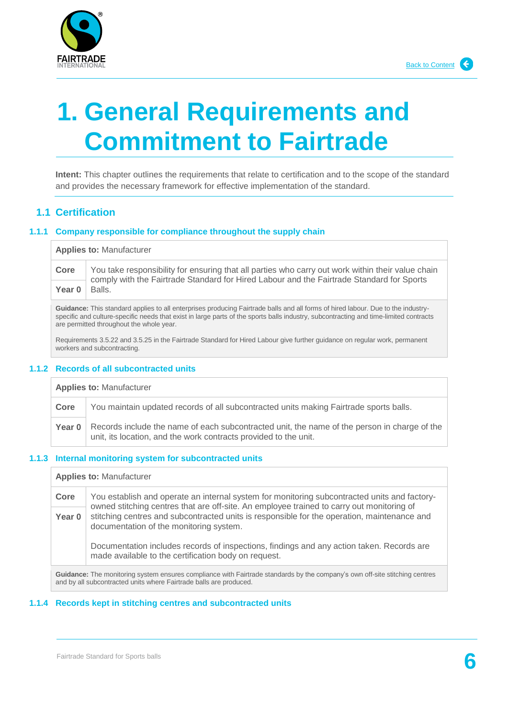

## <span id="page-5-0"></span>**1. General Requirements and Commitment to Fairtrade**

**Intent:** This chapter outlines the requirements that relate to certification and to the scope of the standard and provides the necessary framework for effective implementation of the standard.

### <span id="page-5-1"></span>**1.1 Certification**

#### **1.1.1 Company responsible for compliance throughout the supply chain**

**Applies to:** Manufacturer

**Core** You take responsibility for ensuring that all parties who carry out work within their value chain comply with the Fairtrade Standard for Hired Labour and the Fairtrade Standard for Sports Year 0 Balls.

**Guidance:** This standard applies to all enterprises producing Fairtrade balls and all forms of hired labour. Due to the industryspecific and culture-specific needs that exist in large parts of the sports balls industry, subcontracting and time-limited contracts are permitted throughout the whole year.

Requirements 3.5.22 and 3.5.25 in the Fairtrade Standard for Hired Labour give further guidance on regular work, permanent workers and subcontracting.

#### **1.1.2 Records of all subcontracted units**

**Applies to:** Manufacturer

**Core** You maintain updated records of all subcontracted units making Fairtrade sports balls.

Records include the name of each subcontracted unit, the name of the person in charge of the unit, its location, and the work contracts provided to the unit. **Year 0**

#### **1.1.3 Internal monitoring system for subcontracted units**

**Applies to:** Manufacturer

**Core** You establish and operate an internal system for monitoring subcontracted units and factoryowned stitching centres that are off-site. An employee trained to carry out monitoring of stitching centres and subcontracted units is responsible for the operation, maintenance and documentation of the monitoring system. **Year 0**

Documentation includes records of inspections, findings and any action taken. Records are made available to the certification body on request.

**Guidance:** The monitoring system ensures compliance with Fairtrade standards by the company's own off-site stitching centres and by all subcontracted units where Fairtrade balls are produced.

#### **1.1.4 Records kept in stitching centres and subcontracted units**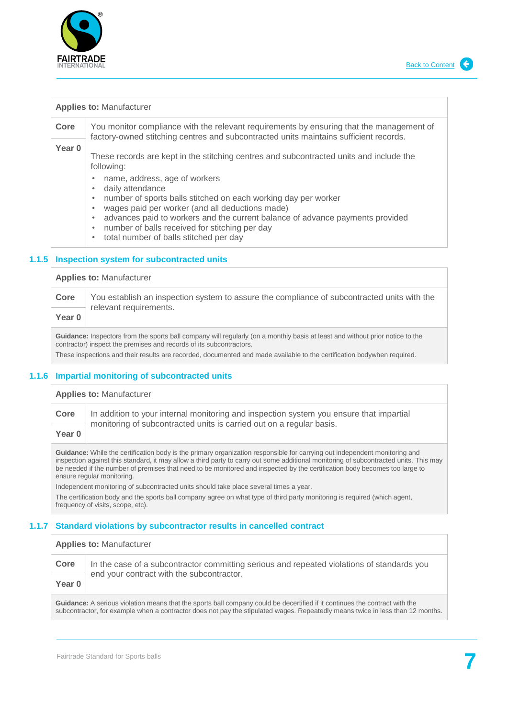

| <b>Applies to: Manufacturer</b> |                                                                                                                                                                                                                                                                                                                                                                                              |  |
|---------------------------------|----------------------------------------------------------------------------------------------------------------------------------------------------------------------------------------------------------------------------------------------------------------------------------------------------------------------------------------------------------------------------------------------|--|
| Core                            | You monitor compliance with the relevant requirements by ensuring that the management of<br>factory-owned stitching centres and subcontracted units maintains sufficient records.                                                                                                                                                                                                            |  |
| Year 0                          | These records are kept in the stitching centres and subcontracted units and include the<br>following:                                                                                                                                                                                                                                                                                        |  |
|                                 | name, address, age of workers<br>daily attendance<br>۰<br>number of sports balls stitched on each working day per worker<br>۰<br>wages paid per worker (and all deductions made)<br>$\bullet$<br>advances paid to workers and the current balance of advance payments provided<br>۰<br>number of balls received for stitching per day<br>$\bullet$<br>total number of halle etitebod per day |  |

• total number of balls stitched per day

#### **1.1.5 Inspection system for subcontracted units**

**Applies to:** Manufacturer

| Core              | You establish an inspection system to assure the compliance of subcontracted units with the<br>relevant requirements. |
|-------------------|-----------------------------------------------------------------------------------------------------------------------|
| Year <sub>0</sub> |                                                                                                                       |

**Guidance:** Inspectors from the sports ball company will regularly (on a monthly basis at least and without prior notice to the contractor) inspect the premises and records of its subcontractors. These inspections and their results are recorded, documented and made available to the certification bodywhen required.

#### **1.1.6 Impartial monitoring of subcontracted units**

#### **Applies to:** Manufacturer

**Core** | In addition to your internal monitoring and inspection system you ensure that impartial monitoring of subcontracted units is carried out on a regular basis. **Year 0**

**Guidance:** While the certification body is the primary organization responsible for carrying out independent monitoring and inspection against this standard, it may allow a third party to carry out some additional monitoring of subcontracted units. This may be needed if the number of premises that need to be monitored and inspected by the certification body becomes too large to ensure regular monitoring.

Independent monitoring of subcontracted units should take place several times a year. The certification body and the sports ball company agree on what type of third party monitoring is required (which agent, frequency of visits, scope, etc).

### **1.1.7 Standard violations by subcontractor results in cancelled contract**

| <b>Applies to: Manufacturer</b> |                                                                                                                                         |
|---------------------------------|-----------------------------------------------------------------------------------------------------------------------------------------|
| Core                            | In the case of a subcontractor committing serious and repeated violations of standards you<br>end your contract with the subcontractor. |
| Year 0                          |                                                                                                                                         |
|                                 |                                                                                                                                         |

**Guidance:** A serious violation means that the sports ball company could be decertified if it continues the contract with the subcontractor, for example when a contractor does not pay the stipulated wages. Repeatedly means twice in less than 12 months.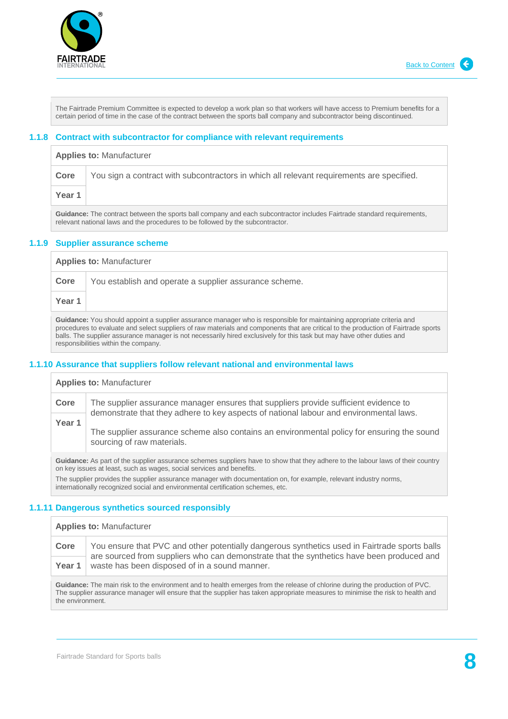

The Fairtrade Premium Committee is expected to develop a work plan so that workers will have access to Premium benefits for a certain period of time in the case of the contract between the sports ball company and subcontractor being discontinued.

#### **1.1.8 Contract with subcontractor for compliance with relevant requirements**

**Applies to:** Manufacturer

|        | <b>Core</b>   You sign a contract with subcontractors in which all relevant requirements are specified. |
|--------|---------------------------------------------------------------------------------------------------------|
| Year 1 |                                                                                                         |

Guidance: The contract between the sports ball company and each subcontractor includes Fairtrade standard requirements, relevant national laws and the procedures to be followed by the subcontractor.

#### **1.1.9 Supplier assurance scheme**

**Applies to:** Manufacturer **Core** You establish and operate a supplier assurance scheme.

**Year 1**

**Guidance:** You should appoint a supplier assurance manager who is responsible for maintaining appropriate criteria and procedures to evaluate and select suppliers of raw materials and components that are critical to the production of Fairtrade sports balls. The supplier assurance manager is not necessarily hired exclusively for this task but may have other duties and responsibilities within the company.

#### **1.1.10 Assurance that suppliers follow relevant national and environmental laws**

**Applies to:** Manufacturer

**Core** The supplier assurance manager ensures that suppliers provide sufficient evidence to demonstrate that they adhere to key aspects of national labour and environmental laws. The supplier assurance scheme also contains an environmental policy for ensuring the sound sourcing of raw materials. **Year 1**

**Guidance:** As part of the supplier assurance schemes suppliers have to show that they adhere to the labour laws of their country on key issues at least, such as wages, social services and benefits.

The supplier provides the supplier assurance manager with documentation on, for example, relevant industry norms, internationally recognized social and environmental certification schemes, etc.

#### **1.1.11 Dangerous synthetics sourced responsibly**

#### **Applies to:** Manufacturer

**Core** You ensure that PVC and other potentially dangerous synthetics used in Fairtrade sports balls are sourced from suppliers who can demonstrate that the synthetics have been produced and **Year 1** waste has been disposed of in a sound manner.

**Guidance:** The main risk to the environment and to health emerges from the release of chlorine during the production of PVC. The supplier assurance manager will ensure that the supplier has taken appropriate measures to minimise the risk to health and the environment.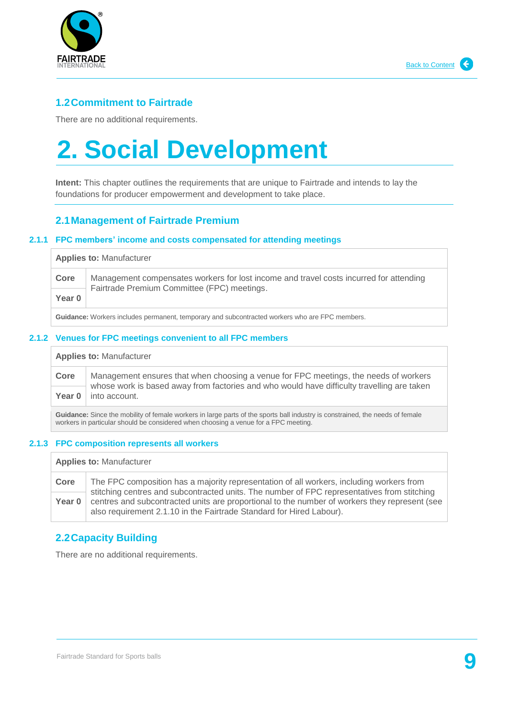

## <span id="page-8-0"></span>**1.2Commitment to Fairtrade**

There are no additional requirements.

## <span id="page-8-1"></span>**2. Social Development**

**Intent:** This chapter outlines the requirements that are unique to Fairtrade and intends to lay the foundations for producer empowerment and development to take place.

## <span id="page-8-2"></span>**2.1Management of Fairtrade Premium**

#### **2.1.1 FPC members' income and costs compensated for attending meetings**

| <b>Applies to: Manufacturer</b> |                                                                                                                                       |
|---------------------------------|---------------------------------------------------------------------------------------------------------------------------------------|
| Core                            | Management compensates workers for lost income and travel costs incurred for attending<br>Fairtrade Premium Committee (FPC) meetings. |
| Year 0                          |                                                                                                                                       |
|                                 |                                                                                                                                       |

**Guidance:** Workers includes permanent, temporary and subcontracted workers who are FPC members.

#### **2.1.2 Venues for FPC meetings convenient to all FPC members**

**Applies to:** Manufacturer

**Core** | Management ensures that when choosing a venue for FPC meetings, the needs of workers whose work is based away from factories and who would have difficulty travelling are taken Year 0 | into account.

**Guidance:** Since the mobility of female workers in large parts of the sports ball industry is constrained, the needs of female workers in particular should be considered when choosing a venue for a FPC meeting.

#### **2.1.3 FPC composition represents all workers**

**Applies to:** Manufacturer

**Core** The FPC composition has a majority representation of all workers, including workers from stitching centres and subcontracted units. The number of FPC representatives from stitching centres and subcontracted units are proportional to the number of workers they represent (see also requirement 2.1.10 in the Fairtrade Standard for Hired Labour). **Year 0**

## <span id="page-8-3"></span>**2.2Capacity Building**

There are no additional requirements.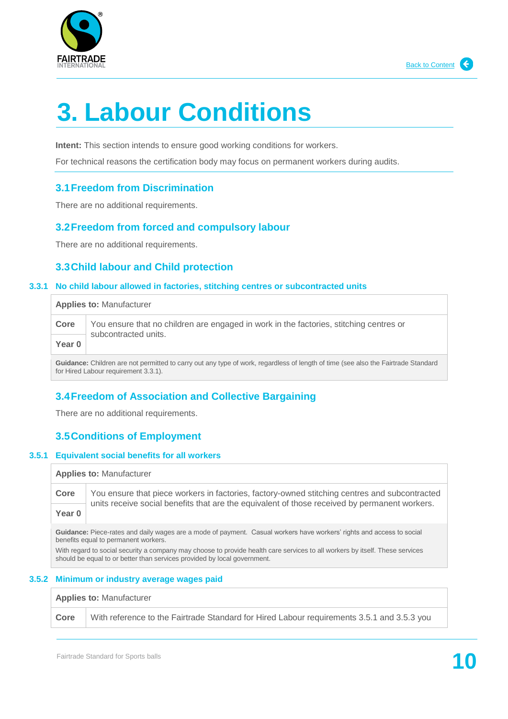

# <span id="page-9-0"></span>**3. Labour Conditions**

**Intent:** This section intends to ensure good working conditions for workers.

For technical reasons the certification body may focus on permanent workers during audits.

## <span id="page-9-1"></span>**3.1Freedom from Discrimination**

There are no additional requirements.

## <span id="page-9-2"></span>**3.2Freedom from forced and compulsory labour**

There are no additional requirements.

## <span id="page-9-3"></span>**3.3Child labour and Child protection**

#### **3.3.1 No child labour allowed in factories, stitching centres or subcontracted units**

**Applies to:** Manufacturer

| Core   | You ensure that no children are engaged in work in the factories, stitching centres or<br>subcontracted units. |
|--------|----------------------------------------------------------------------------------------------------------------|
| Year 0 |                                                                                                                |

**Guidance:** Children are not permitted to carry out any type of work, regardless of length of time (see also the Fairtrade Standard for Hired Labour requirement 3.3.1).

## <span id="page-9-4"></span>**3.4Freedom of Association and Collective Bargaining**

There are no additional requirements.

## <span id="page-9-5"></span>**3.5Conditions of Employment**

#### **3.5.1 Equivalent social benefits for all workers**

**Applies to:** Manufacturer

**Core** You ensure that piece workers in factories, factory-owned stitching centres and subcontracted units receive social benefits that are the equivalent of those received by permanent workers.

**Year 0**

Guidance: Piece-rates and daily wages are a mode of payment. Casual workers have workers' rights and access to social benefits equal to permanent workers.

With regard to social security a company may choose to provide health care services to all workers by itself. These services should be equal to or better than services provided by local government.

### **3.5.2 Minimum or industry average wages paid**

**Applies to:** Manufacturer

**Core** | With reference to the Fairtrade Standard for Hired Labour requirements 3.5.1 and 3.5.3 you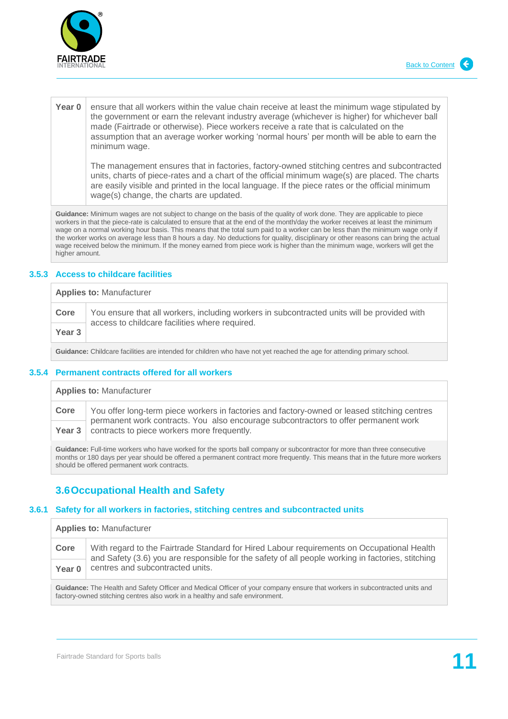

#### **Year 0** ensure that all workers within the value chain receive at least the minimum wage stipulated by the government or earn the relevant industry average (whichever is higher) for whichever ball made (Fairtrade or otherwise). Piece workers receive a rate that is calculated on the assumption that an average worker working 'normal hours' per month will be able to earn the minimum wage.

The management ensures that in factories, factory-owned stitching centres and subcontracted units, charts of piece-rates and a chart of the official minimum wage(s) are placed. The charts are easily visible and printed in the local language. If the piece rates or the official minimum wage(s) change, the charts are updated.

**Guidance:** Minimum wages are not subject to change on the basis of the quality of work done. They are applicable to piece workers in that the piece-rate is calculated to ensure that at the end of the month/day the worker receives at least the minimum wage on a normal working hour basis. This means that the total sum paid to a worker can be less than the minimum wage only if the worker works on average less than 8 hours a day. No deductions for quality, disciplinary or other reasons can bring the actual wage received below the minimum. If the money earned from piece work is higher than the minimum wage, workers will get the higher amount.

#### **3.5.3 Access to childcare facilities**

## **Applies to:** Manufacturer **Core** You ensure that all workers, including workers in subcontracted units will be provided with access to childcare facilities where required. **Year 3**

**Guidance:** Childcare facilities are intended for children who have not yet reached the age for attending primary school.

#### **3.5.4 Permanent contracts offered for all workers**

**Applies to:** Manufacturer

**Core** You offer long-term piece workers in factories and factory-owned or leased stitching centres permanent work contracts. You also encourage subcontractors to offer permanent work **Year 3** contracts to piece workers more frequently.

**Guidance:** Full-time workers who have worked for the sports ball company or subcontractor for more than three consecutive months or 180 days per year should be offered a permanent contract more frequently. This means that in the future more workers should be offered permanent work contracts.

## <span id="page-10-0"></span>**3.6Occupational Health and Safety**

#### **3.6.1 Safety for all workers in factories, stitching centres and subcontracted units**

**Applies to:** Manufacturer **Core** | With regard to the Fairtrade Standard for Hired Labour requirements on Occupational Health and Safety (3.6) you are responsible for the safety of all people working in factories, stitching **Year 0** centres and subcontracted units.

**Guidance:** The Health and Safety Officer and Medical Officer of your company ensure that workers in subcontracted units and factory-owned stitching centres also work in a healthy and safe environment.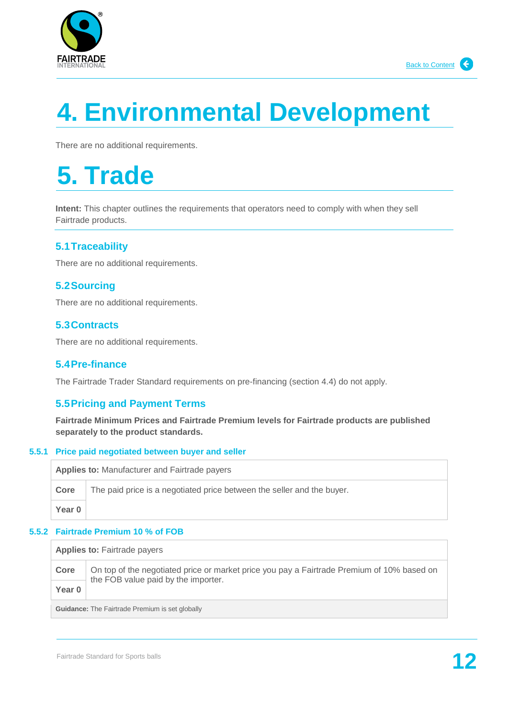

# <span id="page-11-0"></span>**4. Environmental Development**

There are no additional requirements.

## <span id="page-11-1"></span>**5. Trade**

**Intent:** This chapter outlines the requirements that operators need to comply with when they sell Fairtrade products.

## <span id="page-11-2"></span>**5.1Traceability**

There are no additional requirements.

## <span id="page-11-3"></span>**5.2Sourcing**

There are no additional requirements.

## <span id="page-11-4"></span>**5.3Contracts**

There are no additional requirements.

## <span id="page-11-5"></span>**5.4Pre-finance**

The Fairtrade Trader Standard requirements on pre-financing (section 4.4) do not apply.

## <span id="page-11-6"></span>**5.5Pricing and Payment Terms**

**Fairtrade Minimum Prices and Fairtrade Premium levels for Fairtrade products are published separately to the product standards.**

#### **5.5.1 Price paid negotiated between buyer and seller**

**Applies to:** Manufacturer and Fairtrade payers

**Core** The paid price is a negotiated price between the seller and the buyer. **Year 0**

#### **5.5.2 Fairtrade Premium 10 % of FOB**

**Applies to:** Fairtrade payers **Core** | On top of the negotiated price or market price you pay a Fairtrade Premium of 10% based on the FOB value paid by the importer. **Year 0 Guidance:** The Fairtrade Premium is set globally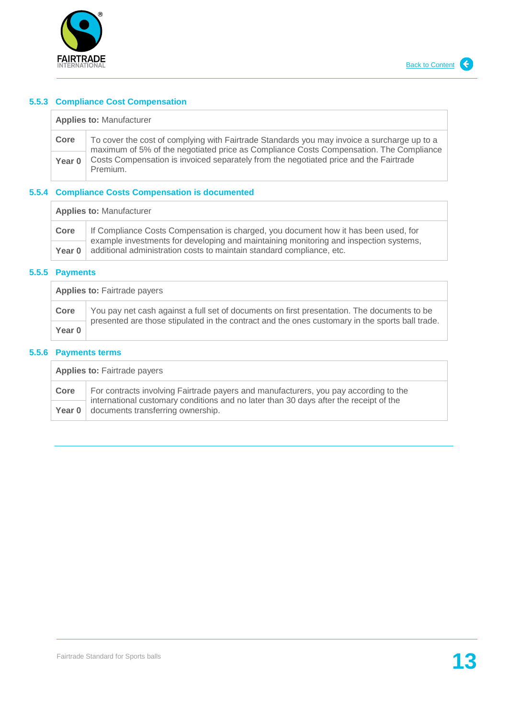

#### **5.5.3 Compliance Cost Compensation**

| <b>Applies to: Manufacturer</b> |  |
|---------------------------------|--|
|---------------------------------|--|

**Core** To cover the cost of complying with Fairtrade Standards you may invoice a surcharge up to a maximum of 5% of the negotiated price as Compliance Costs Compensation. The Compliance Costs Compensation is invoiced separately from the negotiated price and the Fairtrade Premium. **Year 0**

## **5.5.4 Compliance Costs Compensation is documented**

| <b>Applies to: Manufacturer</b> |                                                                                                                                                                              |  |
|---------------------------------|------------------------------------------------------------------------------------------------------------------------------------------------------------------------------|--|
| Core                            | If Compliance Costs Compensation is charged, you document how it has been used, for<br>example investments for developing and maintaining monitoring and inspection systems, |  |
| Year $01$                       | additional administration costs to maintain standard compliance, etc.                                                                                                        |  |

#### **5.5.5 Payments**

| <b>Applies to: Fairtrade payers</b> |                                                                                                                                                                                                |
|-------------------------------------|------------------------------------------------------------------------------------------------------------------------------------------------------------------------------------------------|
| Core                                | You pay net cash against a full set of documents on first presentation. The documents to be<br>presented are those stipulated in the contract and the ones customary in the sports ball trade. |
| Year 0                              |                                                                                                                                                                                                |

#### **5.5.6 Payments terms**

| <b>Applies to: Fairtrade payers</b> |                                                                                                                                                                               |
|-------------------------------------|-------------------------------------------------------------------------------------------------------------------------------------------------------------------------------|
| Core                                | For contracts involving Fairtrade payers and manufacturers, you pay according to the<br>international customary conditions and no later than 30 days after the receipt of the |
|                                     | <b>Year 0</b> $\vert$ documents transferring ownership.                                                                                                                       |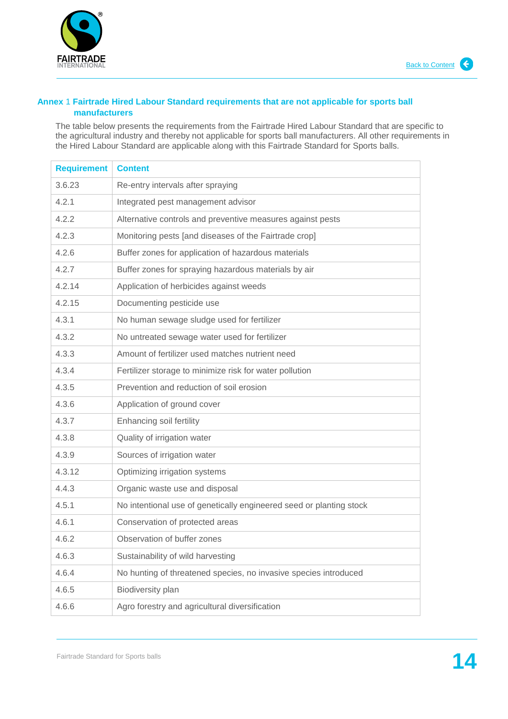

#### <span id="page-13-0"></span>**Annex** 1 **Fairtrade Hired Labour Standard requirements that are not applicable for sports ball manufacturers**

The table below presents the requirements from the Fairtrade Hired Labour Standard that are specific to the agricultural industry and thereby not applicable for sports ball manufacturers. All other requirements in the Hired Labour Standard are applicable along with this Fairtrade Standard for Sports balls.

| <b>Requirement</b> | <b>Content</b>                                                      |
|--------------------|---------------------------------------------------------------------|
| 3.6.23             | Re-entry intervals after spraying                                   |
| 4.2.1              | Integrated pest management advisor                                  |
| 4.2.2              | Alternative controls and preventive measures against pests          |
| 4.2.3              | Monitoring pests [and diseases of the Fairtrade crop]               |
| 4.2.6              | Buffer zones for application of hazardous materials                 |
| 4.2.7              | Buffer zones for spraying hazardous materials by air                |
| 4.2.14             | Application of herbicides against weeds                             |
| 4.2.15             | Documenting pesticide use                                           |
| 4.3.1              | No human sewage sludge used for fertilizer                          |
| 4.3.2              | No untreated sewage water used for fertilizer                       |
| 4.3.3              | Amount of fertilizer used matches nutrient need                     |
| 4.3.4              | Fertilizer storage to minimize risk for water pollution             |
| 4.3.5              | Prevention and reduction of soil erosion                            |
| 4.3.6              | Application of ground cover                                         |
| 4.3.7              | Enhancing soil fertility                                            |
| 4.3.8              | Quality of irrigation water                                         |
| 4.3.9              | Sources of irrigation water                                         |
| 4.3.12             | Optimizing irrigation systems                                       |
| 4.4.3              | Organic waste use and disposal                                      |
| 4.5.1              | No intentional use of genetically engineered seed or planting stock |
| 4.6.1              | Conservation of protected areas                                     |
| 4.6.2              | Observation of buffer zones                                         |
| 4.6.3              | Sustainability of wild harvesting                                   |
| 4.6.4              | No hunting of threatened species, no invasive species introduced    |
| 4.6.5              | Biodiversity plan                                                   |
| 4.6.6              | Agro forestry and agricultural diversification                      |